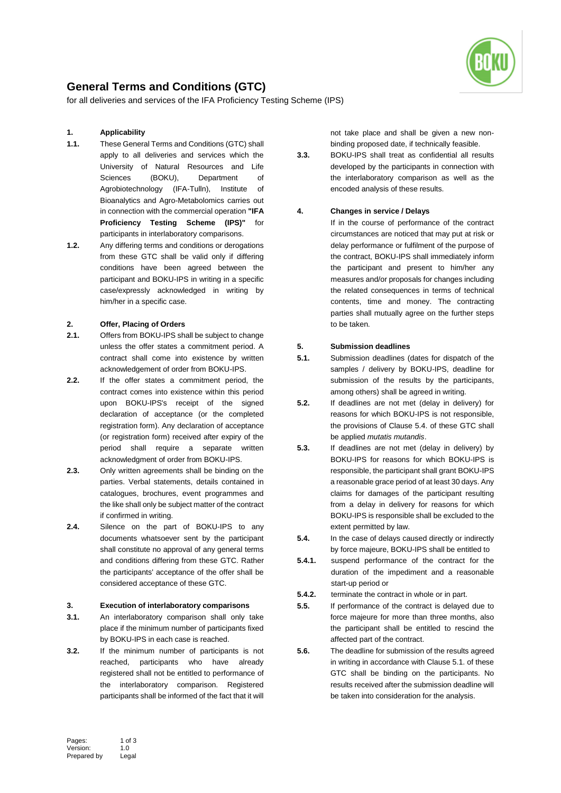

# **General Terms and Conditions (GTC)**

for all deliveries and services of the IFA Proficiency Testing Scheme (IPS)

## **1. Applicability**

- **1.1.** These General Terms and Conditions (GTC) shall apply to all deliveries and services which the University of Natural Resources and Life Sciences (BOKU), Department of Agrobiotechnology (IFA-Tulln), Institute of Bioanalytics and Agro-Metabolomics carries out in connection with the commercial operation **"IFA Proficiency Testing Scheme (IPS)"** for participants in interlaboratory comparisons.
- **1.2.** Any differing terms and conditions or derogations from these GTC shall be valid only if differing conditions have been agreed between the participant and BOKU-IPS in writing in a specific case/expressly acknowledged in writing by him/her in a specific case.

#### **2. Offer, Placing of Orders**

- **2.1.** Offers from BOKU-IPS shall be subject to change unless the offer states a commitment period. A contract shall come into existence by written acknowledgement of order from BOKU-IPS.
- **2.2.** If the offer states a commitment period, the contract comes into existence within this period upon BOKU-IPS's receipt of the signed declaration of acceptance (or the completed registration form). Any declaration of acceptance (or registration form) received after expiry of the period shall require a separate written acknowledgment of order from BOKU-IPS.
- **2.3.** Only written agreements shall be binding on the parties. Verbal statements, details contained in catalogues, brochures, event programmes and the like shall only be subject matter of the contract if confirmed in writing.
- **2.4.** Silence on the part of BOKU-IPS to any documents whatsoever sent by the participant shall constitute no approval of any general terms and conditions differing from these GTC. Rather the participants' acceptance of the offer shall be considered acceptance of these GTC.

#### **3. Execution of interlaboratory comparisons**

- **3.1.** An interlaboratory comparison shall only take place if the minimum number of participants fixed by BOKU-IPS in each case is reached.
- **3.2.** If the minimum number of participants is not reached, participants who have already registered shall not be entitled to performance of the interlaboratory comparison. Registered participants shall be informed of the fact that it will

not take place and shall be given a new nonbinding proposed date, if technically feasible.

**3.3.** BOKU-IPS shall treat as confidential all results developed by the participants in connection with the interlaboratory comparison as well as the encoded analysis of these results.

## **4. Changes in service / Delays**

If in the course of performance of the contract circumstances are noticed that may put at risk or delay performance or fulfilment of the purpose of the contract, BOKU-IPS shall immediately inform the participant and present to him/her any measures and/or proposals for changes including the related consequences in terms of technical contents, time and money. The contracting parties shall mutually agree on the further steps to be taken.

#### **5. Submission deadlines**

- **5.1.** Submission deadlines (dates for dispatch of the samples / delivery by BOKU-IPS, deadline for submission of the results by the participants, among others) shall be agreed in writing.
- **5.2.** If deadlines are not met (delay in delivery) for reasons for which BOKU-IPS is not responsible, the provisions of Clause 5.4. of these GTC shall be applied *mutatis mutandis*.
- **5.3.** If deadlines are not met (delay in delivery) by BOKU-IPS for reasons for which BOKU-IPS is responsible, the participant shall grant BOKU-IPS a reasonable grace period of at least 30 days. Any claims for damages of the participant resulting from a delay in delivery for reasons for which BOKU-IPS is responsible shall be excluded to the extent permitted by law.
- **5.4.** In the case of delays caused directly or indirectly by force majeure, BOKU-IPS shall be entitled to
- **5.4.1.** suspend performance of the contract for the duration of the impediment and a reasonable start-up period or
- **5.4.2.** terminate the contract in whole or in part.
- **5.5.** If performance of the contract is delayed due to force majeure for more than three months, also the participant shall be entitled to rescind the affected part of the contract.
- **5.6.** The deadline for submission of the results agreed in writing in accordance with Clause 5.1. of these GTC shall be binding on the participants. No results received after the submission deadline will be taken into consideration for the analysis.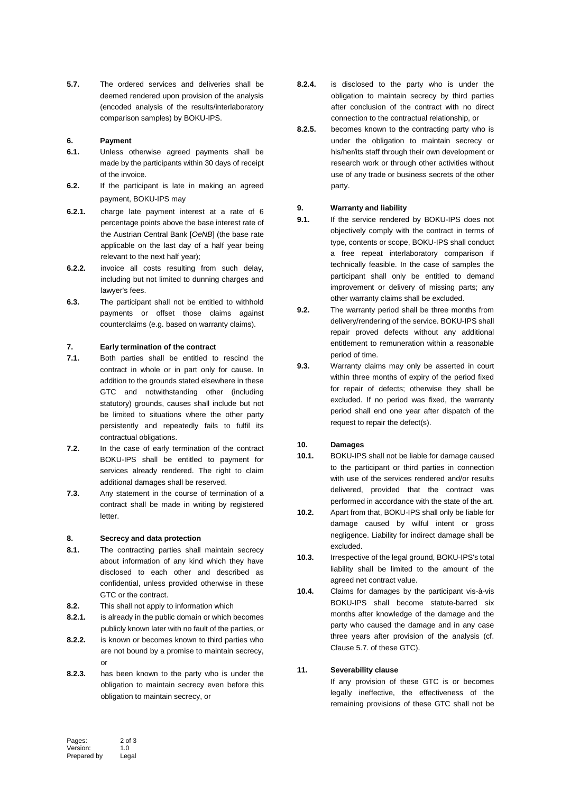**5.7.** The ordered services and deliveries shall be deemed rendered upon provision of the analysis (encoded analysis of the results/interlaboratory comparison samples) by BOKU-IPS.

### **6. Payment**

- **6.1.** Unless otherwise agreed payments shall be made by the participants within 30 days of receipt of the invoice.
- **6.2.** If the participant is late in making an agreed payment, BOKU-IPS may
- **6.2.1.** charge late payment interest at a rate of 6 percentage points above the base interest rate of the Austrian Central Bank [*OeNB*] (the base rate applicable on the last day of a half year being relevant to the next half year);
- **6.2.2.** invoice all costs resulting from such delay, including but not limited to dunning charges and lawyer's fees.
- **6.3.** The participant shall not be entitled to withhold payments or offset those claims against counterclaims (e.g. based on warranty claims).

# **7. Early termination of the contract**

- **7.1.** Both parties shall be entitled to rescind the contract in whole or in part only for cause. In addition to the grounds stated elsewhere in these GTC and notwithstanding other (including statutory) grounds, causes shall include but not be limited to situations where the other party persistently and repeatedly fails to fulfil its contractual obligations.
- **7.2.** In the case of early termination of the contract BOKU-IPS shall be entitled to payment for services already rendered. The right to claim additional damages shall be reserved.
- **7.3.** Any statement in the course of termination of a contract shall be made in writing by registered letter.

#### **8. Secrecy and data protection**

- **8.1.** The contracting parties shall maintain secrecy about information of any kind which they have disclosed to each other and described as confidential, unless provided otherwise in these GTC or the contract.
- **8.2.** This shall not apply to information which
- **8.2.1.** is already in the public domain or which becomes publicly known later with no fault of the parties, or
- **8.2.2.** is known or becomes known to third parties who are not bound by a promise to maintain secrecy, or
- **8.2.3.** has been known to the party who is under the obligation to maintain secrecy even before this obligation to maintain secrecy, or
- **8.2.4.** is disclosed to the party who is under the obligation to maintain secrecy by third parties after conclusion of the contract with no direct connection to the contractual relationship, or
- **8.2.5.** becomes known to the contracting party who is under the obligation to maintain secrecy or his/her/its staff through their own development or research work or through other activities without use of any trade or business secrets of the other party.

# **9. Warranty and liability**

- **9.1.** If the service rendered by BOKU-IPS does not objectively comply with the contract in terms of type, contents or scope, BOKU-IPS shall conduct a free repeat interlaboratory comparison if technically feasible. In the case of samples the participant shall only be entitled to demand improvement or delivery of missing parts; any other warranty claims shall be excluded.
- **9.2.** The warranty period shall be three months from delivery/rendering of the service. BOKU-IPS shall repair proved defects without any additional entitlement to remuneration within a reasonable period of time.
- **9.3.** Warranty claims may only be asserted in court within three months of expiry of the period fixed for repair of defects; otherwise they shall be excluded. If no period was fixed, the warranty period shall end one year after dispatch of the request to repair the defect(s).

# **10. Damages**

- **10.1.** BOKU-IPS shall not be liable for damage caused to the participant or third parties in connection with use of the services rendered and/or results delivered, provided that the contract was performed in accordance with the state of the art.
- **10.2.** Apart from that, BOKU-IPS shall only be liable for damage caused by wilful intent or gross negligence. Liability for indirect damage shall be excluded.
- **10.3.** Irrespective of the legal ground, BOKU-IPS's total liability shall be limited to the amount of the agreed net contract value.
- **10.4.** Claims for damages by the participant vis-à-vis BOKU-IPS shall become statute-barred six months after knowledge of the damage and the party who caused the damage and in any case three years after provision of the analysis (cf. Clause 5.7. of these GTC).

# **11. Severability clause**

If any provision of these GTC is or becomes legally ineffective, the effectiveness of the remaining provisions of these GTC shall not be